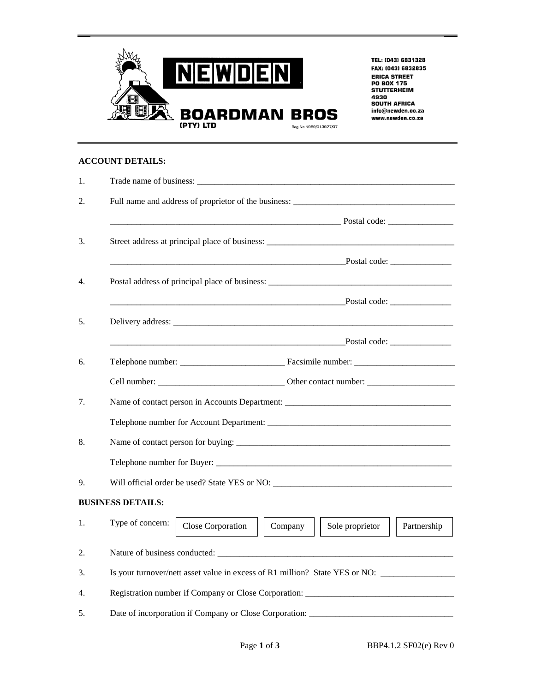

TEL: (043) 6831328 FAX: (043) 6832835 **ERICA STREET** PO BOX 175<br>STUTTERHEIM 4930 **SOUTH AFRICA** info@newden.co.za www.newden.co.za

## **ACCOUNT DETAILS:**

| 1. |                                                                                    |
|----|------------------------------------------------------------------------------------|
| 2. |                                                                                    |
|    | Postal code:                                                                       |
| 3. | Street address at principal place of business: __________________________________  |
|    |                                                                                    |
| 4. | Postal address of principal place of business: __________________________________  |
|    |                                                                                    |
| 5. |                                                                                    |
|    |                                                                                    |
| 6. |                                                                                    |
|    |                                                                                    |
| 7. |                                                                                    |
|    |                                                                                    |
| 8. |                                                                                    |
|    |                                                                                    |
| 9. | Will official order be used? State YES or NO:                                      |
|    | <b>BUSINESS DETAILS:</b>                                                           |
| 1. | Type of concern:<br>Close Corporation<br>Company<br>Sole proprietor<br>Partnership |
| 2. |                                                                                    |
| 3. | Is your turnover/nett asset value in excess of R1 million? State YES or NO:        |
| 4. | Registration number if Company or Close Corporation: ____________________________  |
| 5. | Date of incorporation if Company or Close Corporation:                             |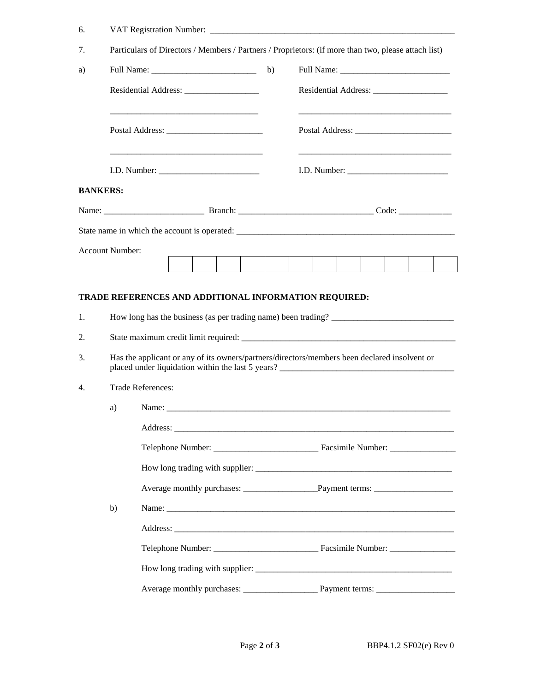| 7.       | Particulars of Directors / Members / Partners / Proprietors: (if more than two, please attach list) |                                                                                              |  |  |  |  |  |  |  |  |
|----------|-----------------------------------------------------------------------------------------------------|----------------------------------------------------------------------------------------------|--|--|--|--|--|--|--|--|
| a)       |                                                                                                     |                                                                                              |  |  |  |  |  |  |  |  |
|          |                                                                                                     |                                                                                              |  |  |  |  |  |  |  |  |
|          |                                                                                                     |                                                                                              |  |  |  |  |  |  |  |  |
|          |                                                                                                     |                                                                                              |  |  |  |  |  |  |  |  |
|          | <b>BANKERS:</b>                                                                                     |                                                                                              |  |  |  |  |  |  |  |  |
|          |                                                                                                     |                                                                                              |  |  |  |  |  |  |  |  |
|          |                                                                                                     |                                                                                              |  |  |  |  |  |  |  |  |
|          | <b>Account Number:</b>                                                                              |                                                                                              |  |  |  |  |  |  |  |  |
|          |                                                                                                     |                                                                                              |  |  |  |  |  |  |  |  |
|          |                                                                                                     | How long has the business (as per trading name) been trading?                                |  |  |  |  |  |  |  |  |
|          |                                                                                                     | Has the applicant or any of its owners/partners/directors/members been declared insolvent or |  |  |  |  |  |  |  |  |
|          |                                                                                                     | <b>Trade References:</b>                                                                     |  |  |  |  |  |  |  |  |
|          | a)                                                                                                  | Name:                                                                                        |  |  |  |  |  |  |  |  |
|          |                                                                                                     |                                                                                              |  |  |  |  |  |  |  |  |
|          |                                                                                                     |                                                                                              |  |  |  |  |  |  |  |  |
|          |                                                                                                     |                                                                                              |  |  |  |  |  |  |  |  |
|          |                                                                                                     |                                                                                              |  |  |  |  |  |  |  |  |
| 4.       | b)                                                                                                  |                                                                                              |  |  |  |  |  |  |  |  |
|          |                                                                                                     |                                                                                              |  |  |  |  |  |  |  |  |
| 2.<br>3. |                                                                                                     |                                                                                              |  |  |  |  |  |  |  |  |
|          |                                                                                                     |                                                                                              |  |  |  |  |  |  |  |  |